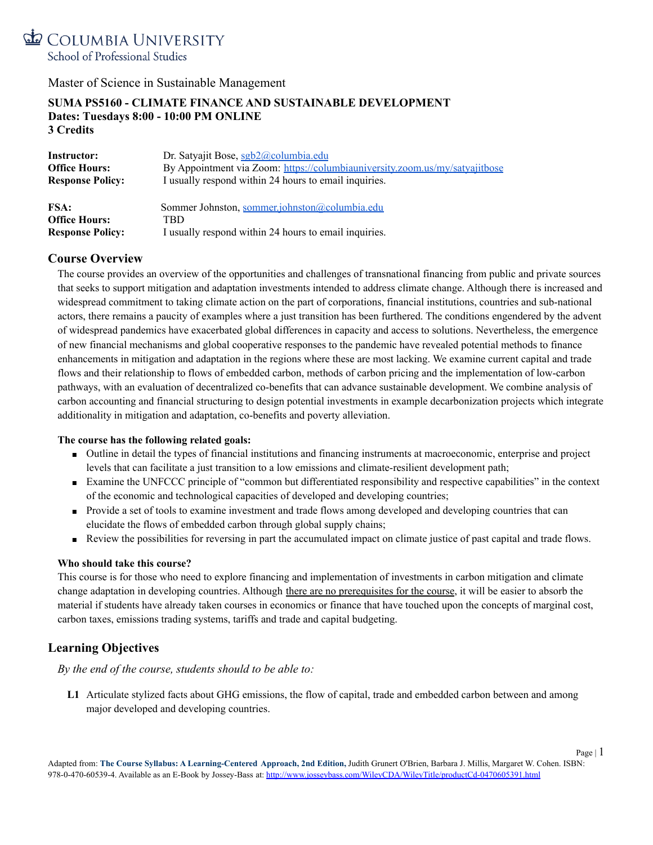

### **SUMA PS5160 - CLIMATE FINANCE AND SUSTAINABLE DEVELOPMENT Dates: Tuesdays 8:00 - 10:00 PM ONLINE 3 Credits**

| Instructor:                                                                      | Dr. Satyajit Bose, sgb2@columbia.edu                                        |
|----------------------------------------------------------------------------------|-----------------------------------------------------------------------------|
| <b>Office Hours:</b>                                                             | By Appointment via Zoom: https://columbiauniversity.zoom.us/my/satvaiitbose |
| I usually respond within 24 hours to email inquiries.<br><b>Response Policy:</b> |                                                                             |
| <b>FSA:</b>                                                                      |                                                                             |
|                                                                                  | Sommer Johnston, sommer johnston@columbia.edu                               |
| <b>Office Hours:</b>                                                             | TBD                                                                         |
| <b>Response Policy:</b>                                                          | I usually respond within 24 hours to email inquiries.                       |

# **Course Overview**

The course provides an overview of the opportunities and challenges of transnational financing from public and private sources that seeks to support mitigation and adaptation investments intended to address climate change. Although there is increased and widespread commitment to taking climate action on the part of corporations, financial institutions, countries and sub-national actors, there remains a paucity of examples where a just transition has been furthered. The conditions engendered by the advent of widespread pandemics have exacerbated global differences in capacity and access to solutions. Nevertheless, the emergence of new financial mechanisms and global cooperative responses to the pandemic have revealed potential methods to finance enhancements in mitigation and adaptation in the regions where these are most lacking. We examine current capital and trade flows and their relationship to flows of embedded carbon, methods of carbon pricing and the implementation of low-carbon pathways, with an evaluation of decentralized co-benefits that can advance sustainable development. We combine analysis of carbon accounting and financial structuring to design potential investments in example decarbonization projects which integrate additionality in mitigation and adaptation, co-benefits and poverty alleviation.

### **The course has the following related goals:**

- Outline in detail the types of financial institutions and financing instruments at macroeconomic, enterprise and project levels that can facilitate a just transition to a low emissions and climate-resilient development path;
- Examine the UNFCCC principle of "common but differentiated responsibility and respective capabilities" in the context of the economic and technological capacities of developed and developing countries;
- Provide a set of tools to examine investment and trade flows among developed and developing countries that can elucidate the flows of embedded carbon through global supply chains;
- Review the possibilities for reversing in part the accumulated impact on climate justice of past capital and trade flows.

### **Who should take this course?**

This course is for those who need to explore financing and implementation of investments in carbon mitigation and climate change adaptation in developing countries. Although there are no prerequisites for the course, it will be easier to absorb the material if students have already taken courses in economics or finance that have touched upon the concepts of marginal cost, carbon taxes, emissions trading systems, tariffs and trade and capital budgeting.

# **Learning Objectives**

### *By the end of the course, students should to be able to:*

**L1** Articulate stylized facts about GHG emissions, the flow of capital, trade and embedded carbon between and among major developed and developing countries.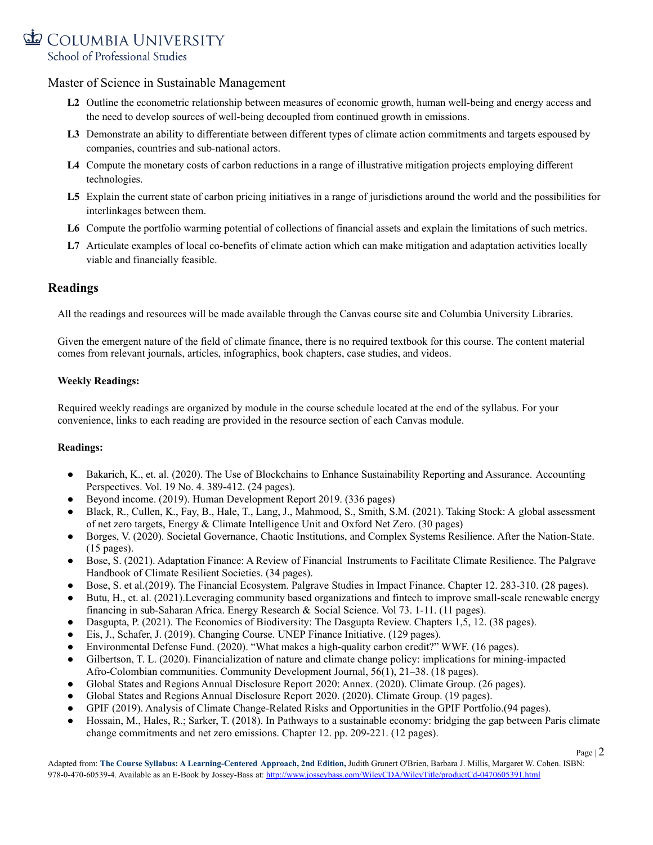

- **L2** Outline the econometric relationship between measures of economic growth, human well-being and energy access and the need to develop sources of well-being decoupled from continued growth in emissions.
- **L3** Demonstrate an ability to differentiate between different types of climate action commitments and targets espoused by companies, countries and sub-national actors.
- **L4** Compute the monetary costs of carbon reductions in a range of illustrative mitigation projects employing different technologies.
- **L5** Explain the current state of carbon pricing initiatives in a range of jurisdictions around the world and the possibilities for interlinkages between them.
- **L6** Compute the portfolio warming potential of collections of financial assets and explain the limitations of such metrics.
- **L7** Articulate examples of local co-benefits of climate action which can make mitigation and adaptation activities locally viable and financially feasible.

## **Readings**

All the readings and resources will be made available through the Canvas course site and Columbia University Libraries.

Given the emergent nature of the field of climate finance, there is no required textbook for this course. The content material comes from relevant journals, articles, infographics, book chapters, case studies, and videos.

### **Weekly Readings:**

Required weekly readings are organized by module in the course schedule located at the end of the syllabus. For your convenience, links to each reading are provided in the resource section of each Canvas module.

### **Readings:**

- Bakarich, K., et. al. (2020). The Use of Blockchains to Enhance Sustainability Reporting and Assurance. Accounting Perspectives. Vol. 19 No. 4. 389-412. (24 pages).
- Beyond income. (2019). Human Development Report 2019. (336 pages)
- Black, R., Cullen, K., Fay, B., Hale, T., Lang, J., Mahmood, S., Smith, S.M. (2021). Taking Stock: A global assessment of net zero targets, Energy & Climate Intelligence Unit and Oxford Net Zero. (30 pages)
- Borges, V. (2020). Societal Governance, Chaotic Institutions, and Complex Systems Resilience. After the Nation-State. (15 pages).
- Bose, S. (2021). Adaptation Finance: A Review of Financial Instruments to Facilitate Climate Resilience. The Palgrave Handbook of Climate Resilient Societies. (34 pages).
- Bose, S. et al.(2019). The Financial Ecosystem. Palgrave Studies in Impact Finance. Chapter 12. 283-310. (28 pages).
- Butu, H., et. al. (2021).Leveraging community based organizations and fintech to improve small-scale renewable energy financing in sub-Saharan Africa. Energy Research & Social Science. Vol 73. 1-11. (11 pages).
- Dasgupta, P. (2021). The Economics of Biodiversity: The Dasgupta Review. Chapters 1,5, 12. (38 pages).
- Eis, J., Schafer, J. (2019). Changing Course. UNEP Finance Initiative. (129 pages).
- Environmental Defense Fund. (2020). "What makes a high-quality carbon credit?" WWF. (16 pages).
- Gilbertson, T. L. (2020). Financialization of nature and climate change policy: implications for mining-impacted Afro-Colombian communities. Community Development Journal, 56(1), 21–38. (18 pages).
- Global States and Regions Annual Disclosure Report 2020: Annex. (2020). Climate Group. (26 pages).
- Global States and Regions Annual Disclosure Report 2020. (2020). Climate Group. (19 pages).
- GPIF (2019). Analysis of Climate Change-Related Risks and Opportunities in the GPIF Portfolio. (94 pages).
- Hossain, M., Hales, R.; Sarker, T. (2018). In Pathways to a sustainable economy: bridging the gap between Paris climate change commitments and net zero emissions. Chapter 12. pp. 209-221. (12 pages).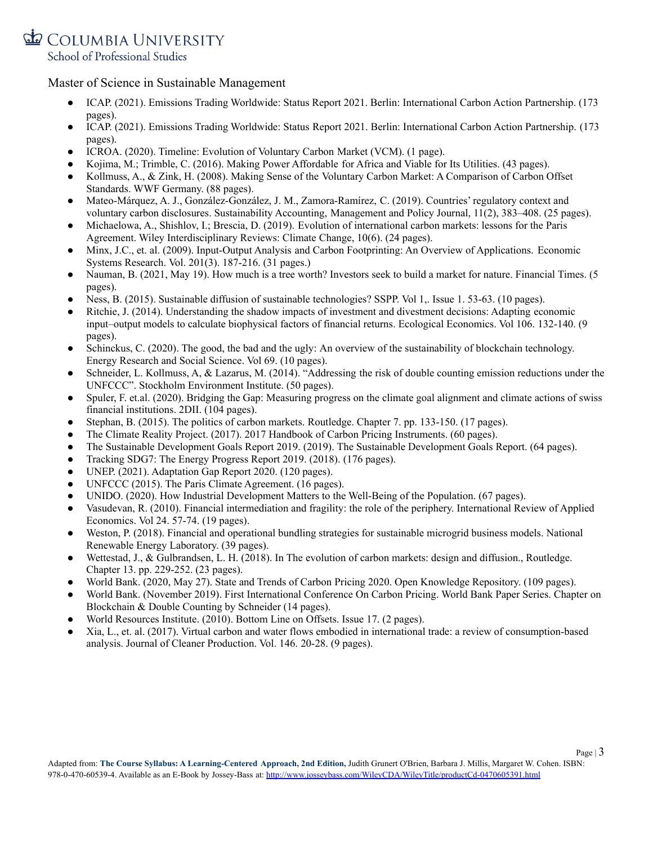**E** COLUMBIA UNIVERSITY School of Professional Studies

# Master of Science in Sustainable Management

- ICAP. (2021). Emissions Trading Worldwide: Status Report 2021. Berlin: International Carbon Action Partnership. (173 pages).
- ICAP. (2021). Emissions Trading Worldwide: Status Report 2021. Berlin: International Carbon Action Partnership. (173 pages).
- ICROA. (2020). Timeline: Evolution of Voluntary Carbon Market (VCM). (1 page).
- Kojima, M.; Trimble, C. (2016). Making Power Affordable for Africa and Viable for Its Utilities. (43 pages).
- Kollmuss, A., & Zink, H. (2008). Making Sense of the Voluntary Carbon Market: A Comparison of Carbon Offset Standards. WWF Germany. (88 pages).
- Mateo-Márquez, A. J., González-González, J. M., Zamora-Ramírez, C. (2019). Countries' regulatory context and voluntary carbon disclosures. Sustainability Accounting, Management and Policy Journal, 11(2), 383–408. (25 pages).
- Michaelowa, A., Shishlov, I.; Brescia, D. (2019). Evolution of international carbon markets: lessons for the Paris Agreement. Wiley Interdisciplinary Reviews: Climate Change, 10(6). (24 pages).
- Minx, J.C., et. al. (2009). Input-Output Analysis and Carbon Footprinting: An Overview of Applications. Economic Systems Research. Vol. 201(3). 187-216. (31 pages.)
- Nauman, B. (2021, May 19). How much is a tree worth? Investors seek to build a market for nature. Financial Times. (5) pages).
- Ness, B. (2015). Sustainable diffusion of sustainable technologies? SSPP. Vol 1,. Issue 1. 53-63. (10 pages).
- Ritchie, J. (2014). Understanding the shadow impacts of investment and divestment decisions: Adapting economic input–output models to calculate biophysical factors of financial returns. Ecological Economics. Vol 106. 132-140. (9 pages).
- Schinckus, C. (2020). The good, the bad and the ugly: An overview of the sustainability of blockchain technology. Energy Research and Social Science. Vol 69. (10 pages).
- Schneider, L. Kollmuss, A, & Lazarus, M. (2014). "Addressing the risk of double counting emission reductions under the UNFCCC". Stockholm Environment Institute. (50 pages).
- Spuler, F. et.al. (2020). Bridging the Gap: Measuring progress on the climate goal alignment and climate actions of swiss financial institutions. 2DII. (104 pages).
- Stephan, B. (2015). The politics of carbon markets. Routledge. Chapter 7. pp. 133-150. (17 pages).
- The Climate Reality Project. (2017). 2017 Handbook of Carbon Pricing Instruments. (60 pages).
- The Sustainable Development Goals Report 2019. (2019). The Sustainable Development Goals Report. (64 pages).
- Tracking SDG7: The Energy Progress Report 2019. (2018). (176 pages).
- UNEP. (2021). Adaptation Gap Report 2020. (120 pages).
- UNFCCC (2015). The Paris Climate Agreement. (16 pages).
- UNIDO. (2020). How Industrial Development Matters to the Well-Being of the Population. (67 pages).
- Vasudevan, R. (2010). Financial intermediation and fragility: the role of the periphery. International Review of Applied Economics. Vol 24. 57-74. (19 pages).
- Weston, P. (2018). Financial and operational bundling strategies for sustainable microgrid business models. National Renewable Energy Laboratory. (39 pages).
- Wettestad, J., & Gulbrandsen, L. H. (2018). In The evolution of carbon markets: design and diffusion., Routledge. Chapter 13. pp. 229-252. (23 pages).
- World Bank. (2020, May 27). State and Trends of Carbon Pricing 2020. Open Knowledge Repository. (109 pages).
- World Bank. (November 2019). First International Conference On Carbon Pricing. World Bank Paper Series. Chapter on Blockchain & Double Counting by Schneider (14 pages).
- World Resources Institute. (2010). Bottom Line on Offsets. Issue 17. (2 pages).
- Xia, L., et. al. (2017). Virtual carbon and water flows embodied in international trade: a review of consumption-based analysis. Journal of Cleaner Production. Vol. 146. 20-28. (9 pages).

Page  $\mid$  3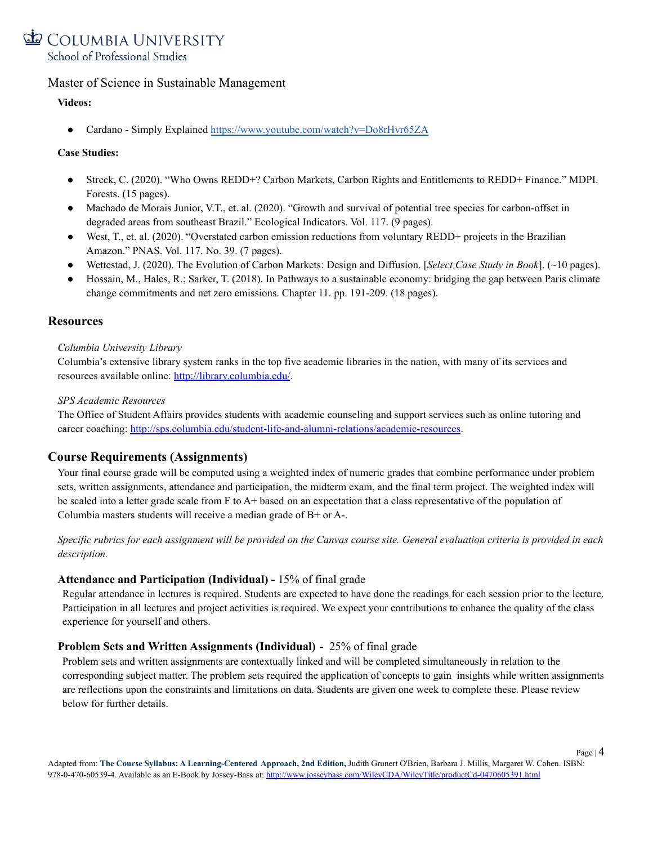# **D** COLUMBIA UNIVERSITY School of Professional Studies

# Master of Science in Sustainable Management

### **Videos:**

● Cardano - Simply Explained <https://www.youtube.com/watch?v=Do8rHvr65ZA>

### **Case Studies:**

- Streck, C. (2020). "Who Owns REDD+? Carbon Markets, Carbon Rights and Entitlements to REDD+ Finance." MDPI. Forests. (15 pages).
- Machado de Morais Junior, V.T., et. al. (2020). "Growth and survival of potential tree species for carbon-offset in degraded areas from southeast Brazil." Ecological Indicators. Vol. 117. (9 pages).
- West, T., et. al. (2020). "Overstated carbon emission reductions from voluntary REDD+ projects in the Brazilian Amazon." PNAS. Vol. 117. No. 39. (7 pages).
- Wettestad, J. (2020). The Evolution of Carbon Markets: Design and Diffusion. [*Select Case Study in Book*]. (~10 pages).
- Hossain, M., Hales, R.; Sarker, T. (2018). In Pathways to a sustainable economy: bridging the gap between Paris climate change commitments and net zero emissions. Chapter 11. pp. 191-209. (18 pages).

### **Resources**

### *Columbia University Library*

Columbia's extensive library system ranks in the top five academic libraries in the nation, with many of its services and resources available online: <http://library.columbia.edu/>.

#### *SPS Academic Resources*

The Office of Student Affairs provides students with academic counseling and support services such as online tutoring and career coaching: <http://sps.columbia.edu/student-life-and-alumni-relations/academic-resources>.

## **Course Requirements (Assignments)**

Your final course grade will be computed using a weighted index of numeric grades that combine performance under problem sets, written assignments, attendance and participation, the midterm exam, and the final term project. The weighted index will be scaled into a letter grade scale from F to A+ based on an expectation that a class representative of the population of Columbia masters students will receive a median grade of B+ or A-.

Specific rubrics for each assignment will be provided on the Canvas course site. General evaluation criteria is provided in each *description.*

### **Attendance and Participation (Individual) -** 15% of final grade

Regular attendance in lectures is required. Students are expected to have done the readings for each session prior to the lecture. Participation in all lectures and project activities is required. We expect your contributions to enhance the quality of the class experience for yourself and others.

### **Problem Sets and Written Assignments (Individual) -** 25% of final grade

Problem sets and written assignments are contextually linked and will be completed simultaneously in relation to the corresponding subject matter. The problem sets required the application of concepts to gain insights while written assignments are reflections upon the constraints and limitations on data. Students are given one week to complete these. Please review below for further details.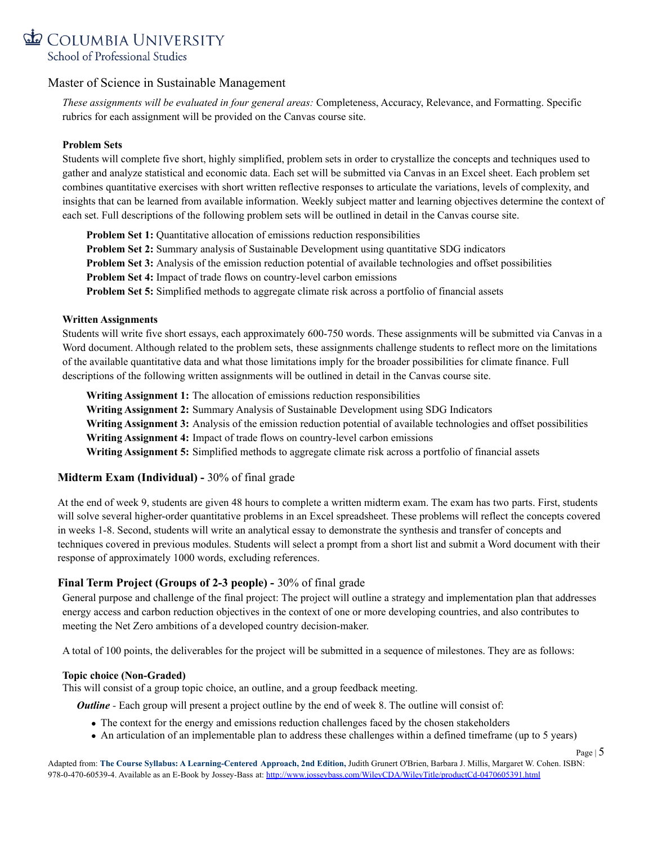

*These assignments will be evaluated in four general areas:* Completeness, Accuracy, Relevance, and Formatting. Specific rubrics for each assignment will be provided on the Canvas course site.

#### **Problem Sets**

Students will complete five short, highly simplified, problem sets in order to crystallize the concepts and techniques used to gather and analyze statistical and economic data. Each set will be submitted via Canvas in an Excel sheet. Each problem set combines quantitative exercises with short written reflective responses to articulate the variations, levels of complexity, and insights that can be learned from available information. Weekly subject matter and learning objectives determine the context of each set. Full descriptions of the following problem sets will be outlined in detail in the Canvas course site.

**Problem Set 1:** Quantitative allocation of emissions reduction responsibilities **Problem Set 2:** Summary analysis of Sustainable Development using quantitative SDG indicators **Problem Set 3:** Analysis of the emission reduction potential of available technologies and offset possibilities **Problem Set 4:** Impact of trade flows on country-level carbon emissions **Problem Set 5:** Simplified methods to aggregate climate risk across a portfolio of financial assets

#### **Written Assignments**

Students will write five short essays, each approximately 600-750 words. These assignments will be submitted via Canvas in a Word document. Although related to the problem sets, these assignments challenge students to reflect more on the limitations of the available quantitative data and what those limitations imply for the broader possibilities for climate finance. Full descriptions of the following written assignments will be outlined in detail in the Canvas course site.

**Writing Assignment 1:** The allocation of emissions reduction responsibilities **Writing Assignment 2:** Summary Analysis of Sustainable Development using SDG Indicators **Writing Assignment 3:** Analysis of the emission reduction potential of available technologies and offset possibilities **Writing Assignment 4:** Impact of trade flows on country-level carbon emissions **Writing Assignment 5:** Simplified methods to aggregate climate risk across a portfolio of financial assets

### **Midterm Exam (Individual) -** 30% of final grade

At the end of week 9, students are given 48 hours to complete a written midterm exam. The exam has two parts. First, students will solve several higher-order quantitative problems in an Excel spreadsheet. These problems will reflect the concepts covered in weeks 1-8. Second, students will write an analytical essay to demonstrate the synthesis and transfer of concepts and techniques covered in previous modules. Students will select a prompt from a short list and submit a Word document with their response of approximately 1000 words, excluding references.

### **Final Term Project (Groups of 2-3 people) -** 30% of final grade

General purpose and challenge of the final project: The project will outline a strategy and implementation plan that addresses energy access and carbon reduction objectives in the context of one or more developing countries, and also contributes to meeting the Net Zero ambitions of a developed country decision-maker.

A total of 100 points, the deliverables for the project will be submitted in a sequence of milestones. They are as follows:

#### **Topic choice (Non-Graded)**

This will consist of a group topic choice, an outline, and a group feedback meeting.

*Outline* - Each group will present a project outline by the end of week 8. The outline will consist of:

- The context for the energy and emissions reduction challenges faced by the chosen stakeholders
- An articulation of an implementable plan to address these challenges within a defined timeframe (up to 5 years)

Adapted from: **The Course Syllabus: A Learning-Centered Approach, 2nd Edition,** Judith Grunert O'Brien, Barbara J. Millis, Margaret W. Cohen. ISBN: 978-0-470-60539-4. Available as an E-Book by Jossey-Bass at: <http://www.josseybass.com/WileyCDA/WileyTitle/productCd-0470605391.html>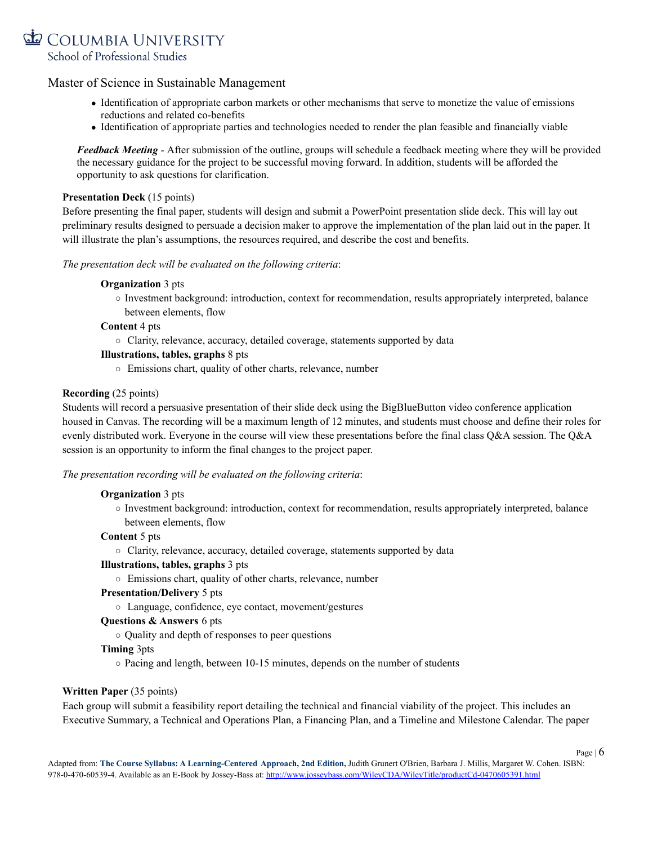

- Identification of appropriate carbon markets or other mechanisms that serve to monetize the value of emissions reductions and related co-benefits
- Identification of appropriate parties and technologies needed to render the plan feasible and financially viable

*Feedback Meeting -* After submission of the outline, groups will schedule a feedback meeting where they will be provided the necessary guidance for the project to be successful moving forward. In addition, students will be afforded the opportunity to ask questions for clarification.

#### **Presentation Deck** (15 points)

Before presenting the final paper, students will design and submit a PowerPoint presentation slide deck. This will lay out preliminary results designed to persuade a decision maker to approve the implementation of the plan laid out in the paper. It will illustrate the plan's assumptions, the resources required, and describe the cost and benefits.

#### *The presentation deck will be evaluated on the following criteria*:

#### **Organization** 3 pts

○ Investment background: introduction, context for recommendation, results appropriately interpreted, balance between elements, flow

**Content** 4 pts

○ Clarity, relevance, accuracy, detailed coverage, statements supported by data

#### **Illustrations, tables, graphs** 8 pts

○ Emissions chart, quality of other charts, relevance, number

#### **Recording** (25 points)

Students will record a persuasive presentation of their slide deck using the BigBlueButton video conference application housed in Canvas. The recording will be a maximum length of 12 minutes, and students must choose and define their roles for evenly distributed work. Everyone in the course will view these presentations before the final class Q&A session. The Q&A session is an opportunity to inform the final changes to the project paper.

#### *The presentation recording will be evaluated on the following criteria*:

#### **Organization** 3 pts

○ Investment background: introduction, context for recommendation, results appropriately interpreted, balance between elements, flow

#### **Content** 5 pts

○ Clarity, relevance, accuracy, detailed coverage, statements supported by data

#### **Illustrations, tables, graphs** 3 pts

○ Emissions chart, quality of other charts, relevance, number

### **Presentation/Delivery** 5 pts

○ Language, confidence, eye contact, movement/gestures

#### **Questions & Answers** 6 pts

○ Quality and depth of responses to peer questions

#### **Timing** 3pts

○ Pacing and length, between 10-15 minutes, depends on the number of students

### **Written Paper** (35 points)

Each group will submit a feasibility report detailing the technical and financial viability of the project. This includes an Executive Summary, a Technical and Operations Plan, a Financing Plan, and a Timeline and Milestone Calendar. The paper

Page  $\vert 6$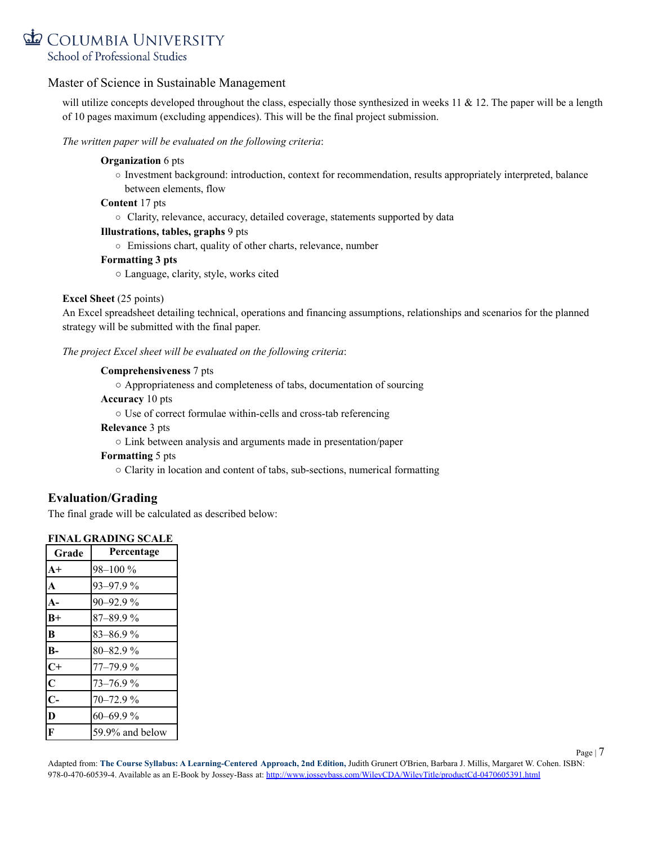# COLUMBIA UNIVERSITY School of Professional Studies

# Master of Science in Sustainable Management

will utilize concepts developed throughout the class, especially those synthesized in weeks  $11 \& 12$ . The paper will be a length of 10 pages maximum (excluding appendices). This will be the final project submission.

*The written paper will be evaluated on the following criteria*:

#### **Organization** 6 pts

○ Investment background: introduction, context for recommendation, results appropriately interpreted, balance between elements, flow

**Content** 17 pts

○ Clarity, relevance, accuracy, detailed coverage, statements supported by data

#### **Illustrations, tables, graphs** 9 pts

○ Emissions chart, quality of other charts, relevance, number

### **Formatting 3 pts**

○ Language, clarity, style, works cited

### **Excel Sheet** (25 points)

An Excel spreadsheet detailing technical, operations and financing assumptions, relationships and scenarios for the planned strategy will be submitted with the final paper.

*The project Excel sheet will be evaluated on the following criteria*:

### **Comprehensiveness** 7 pts

○ Appropriateness and completeness of tabs, documentation of sourcing

**Accuracy** 10 pts

○ Use of correct formulae within-cells and cross-tab referencing

#### **Relevance** 3 pts

○ Link between analysis and arguments made in presentation/paper

#### **Formatting** 5 pts

○ Clarity in location and content of tabs, sub-sections, numerical formatting

## **Evaluation/Grading**

The final grade will be calculated as described below:

### **FINAL GRADING SCALE**

| Grade          | Percentage      |
|----------------|-----------------|
| $A+$           | 98-100 %        |
| $\mathbf{A}$   | 93-97.9%        |
| $A-$           | $90 - 92.9%$    |
| $B+$           | $87 - 89.9%$    |
| B              | $83 - 86.9%$    |
| $B-$           | 80-82.9%        |
| $C+$           | $77 - 79.9%$    |
| $\overline{C}$ | 73-76.9%        |
| $C-$           | $70 - 72.9%$    |
| D              | $60 - 69.9%$    |
| F              | 59.9% and below |

Adapted from: **The Course Syllabus: A Learning-Centered Approach, 2nd Edition,** Judith Grunert O'Brien, Barbara J. Millis, Margaret W. Cohen. ISBN: 978-0-470-60539-4. Available as an E-Book by Jossey-Bass at: <http://www.josseybass.com/WileyCDA/WileyTitle/productCd-0470605391.html>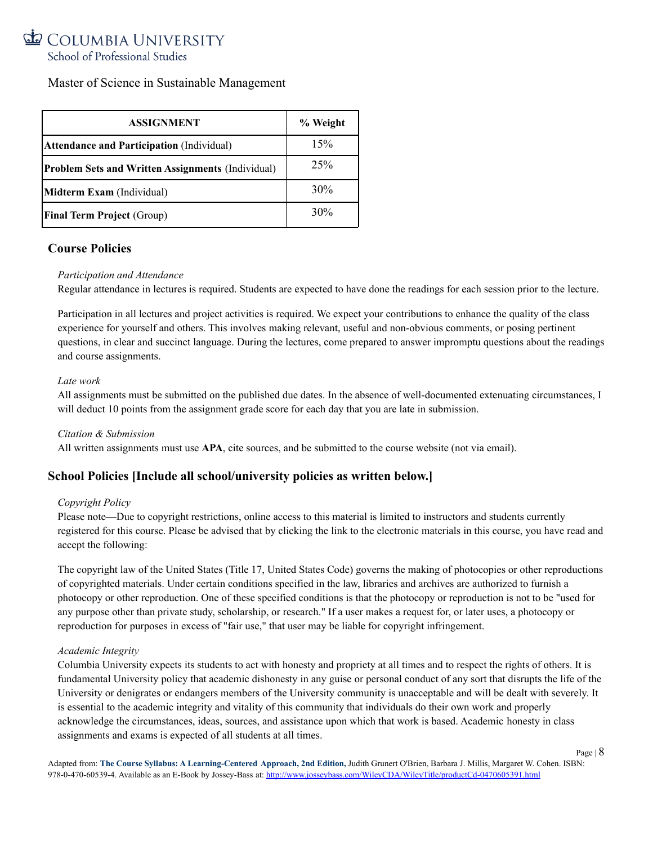

| <b>ASSIGNMENT</b>                                        | % Weight |
|----------------------------------------------------------|----------|
| <b>Attendance and Participation (Individual)</b>         | 15%      |
| <b>Problem Sets and Written Assignments (Individual)</b> | 25%      |
| <b>Midterm Exam</b> (Individual)                         | 30%      |
| <b>Final Term Project (Group)</b>                        | 30%      |

# **Course Policies**

### *Participation and Attendance*

Regular attendance in lectures is required. Students are expected to have done the readings for each session prior to the lecture.

Participation in all lectures and project activities is required. We expect your contributions to enhance the quality of the class experience for yourself and others. This involves making relevant, useful and non-obvious comments, or posing pertinent questions, in clear and succinct language. During the lectures, come prepared to answer impromptu questions about the readings and course assignments.

### *Late work*

All assignments must be submitted on the published due dates. In the absence of well-documented extenuating circumstances, I will deduct 10 points from the assignment grade score for each day that you are late in submission.

### *Citation & Submission*

All written assignments must use **APA**, cite sources, and be submitted to the course website (not via email).

## **School Policies [Include all school/university policies as written below.]**

### *Copyright Policy*

Please note—Due to copyright restrictions, online access to this material is limited to instructors and students currently registered for this course. Please be advised that by clicking the link to the electronic materials in this course, you have read and accept the following:

The copyright law of the United States (Title 17, United States Code) governs the making of photocopies or other reproductions of copyrighted materials. Under certain conditions specified in the law, libraries and archives are authorized to furnish a photocopy or other reproduction. One of these specified conditions is that the photocopy or reproduction is not to be "used for any purpose other than private study, scholarship, or research." If a user makes a request for, or later uses, a photocopy or reproduction for purposes in excess of "fair use," that user may be liable for copyright infringement.

### *Academic Integrity*

Columbia University expects its students to act with honesty and propriety at all times and to respect the rights of others. It is fundamental University policy that academic dishonesty in any guise or personal conduct of any sort that disrupts the life of the University or denigrates or endangers members of the University community is unacceptable and will be dealt with severely. It is essential to the academic integrity and vitality of this community that individuals do their own work and properly acknowledge the circumstances, ideas, sources, and assistance upon which that work is based. Academic honesty in class assignments and exams is expected of all students at all times.

Adapted from: **The Course Syllabus: A Learning-Centered Approach, 2nd Edition,** Judith Grunert O'Brien, Barbara J. Millis, Margaret W. Cohen. ISBN: 978-0-470-60539-4. Available as an E-Book by Jossey-Bass at: <http://www.josseybass.com/WileyCDA/WileyTitle/productCd-0470605391.html>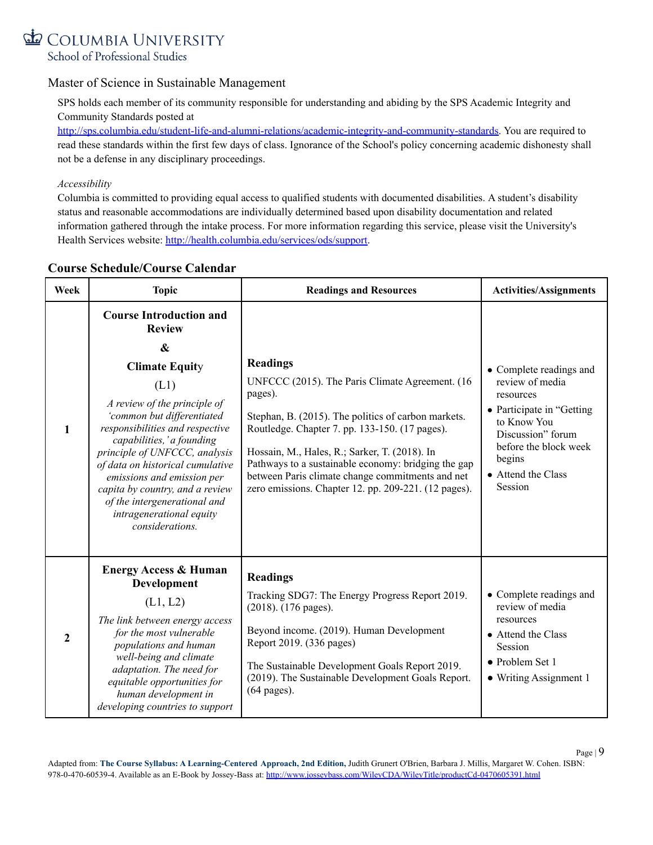

SPS holds each member of its community responsible for understanding and abiding by the SPS Academic Integrity and Community Standards posted at

[http://sps.columbia.edu/student-life-and-alumni-relations/academic-integrity-and-community-standards.](http://sps.columbia.edu/student-life-and-alumni-relations/academic-integrity-and-community-standards) You are required to read these standards within the first few days of class. Ignorance of the School's policy concerning academic dishonesty shall not be a defense in any disciplinary proceedings.

### *Accessibility*

Columbia is committed to providing equal access to qualified students with documented disabilities. A student's disability status and reasonable accommodations are individually determined based upon disability documentation and related information gathered through the intake process. For more information regarding this service, please visit the University's Health Services website: [http://health.columbia.edu/services/ods/support.](http://health.columbia.edu/services/ods/support)

| Week         | <b>Topic</b>                                                                                                                                                                                                                                                                                                                                                                                                                             | <b>Readings and Resources</b>                                                                                                                                                                                                                                                                                                                                                                              | <b>Activities/Assignments</b>                                                                                                                                                                |
|--------------|------------------------------------------------------------------------------------------------------------------------------------------------------------------------------------------------------------------------------------------------------------------------------------------------------------------------------------------------------------------------------------------------------------------------------------------|------------------------------------------------------------------------------------------------------------------------------------------------------------------------------------------------------------------------------------------------------------------------------------------------------------------------------------------------------------------------------------------------------------|----------------------------------------------------------------------------------------------------------------------------------------------------------------------------------------------|
| 1            | <b>Course Introduction and</b><br><b>Review</b><br>&<br><b>Climate Equity</b><br>(L1)<br>A review of the principle of<br>'common but differentiated<br>responsibilities and respective<br>capabilities, 'a founding<br>principle of UNFCCC, analysis<br>of data on historical cumulative<br>emissions and emission per<br>capita by country, and a review<br>of the intergenerational and<br>intragenerational equity<br>considerations. | <b>Readings</b><br>UNFCCC (2015). The Paris Climate Agreement. (16<br>pages).<br>Stephan, B. (2015). The politics of carbon markets.<br>Routledge. Chapter 7. pp. 133-150. (17 pages).<br>Hossain, M., Hales, R.; Sarker, T. (2018). In<br>Pathways to a sustainable economy: bridging the gap<br>between Paris climate change commitments and net<br>zero emissions. Chapter 12. pp. 209-221. (12 pages). | • Complete readings and<br>review of media<br>resources<br>• Participate in "Getting<br>to Know You<br>Discussion" forum<br>before the block week<br>begins<br>• Attend the Class<br>Session |
| $\mathbf{2}$ | <b>Energy Access &amp; Human</b><br>Development<br>(L1, L2)<br>The link between energy access<br>for the most vulnerable<br>populations and human<br>well-being and climate<br>adaptation. The need for<br>equitable opportunities for<br>human development in<br>developing countries to support                                                                                                                                        | <b>Readings</b><br>Tracking SDG7: The Energy Progress Report 2019.<br>$(2018)$ . $(176 \text{ pages})$ .<br>Beyond income. (2019). Human Development<br>Report 2019. (336 pages)<br>The Sustainable Development Goals Report 2019.<br>(2019). The Sustainable Development Goals Report.<br>$(64$ pages).                                                                                                   | • Complete readings and<br>review of media<br>resources<br>• Attend the Class<br>Session<br>• Problem Set 1<br>• Writing Assignment 1                                                        |

# **Course Schedule/Course Calendar**

Adapted from: **The Course Syllabus: A Learning-Centered Approach, 2nd Edition,** Judith Grunert O'Brien, Barbara J. Millis, Margaret W. Cohen. ISBN: 978-0-470-60539-4. Available as an E-Book by Jossey-Bass at: <http://www.josseybass.com/WileyCDA/WileyTitle/productCd-0470605391.html>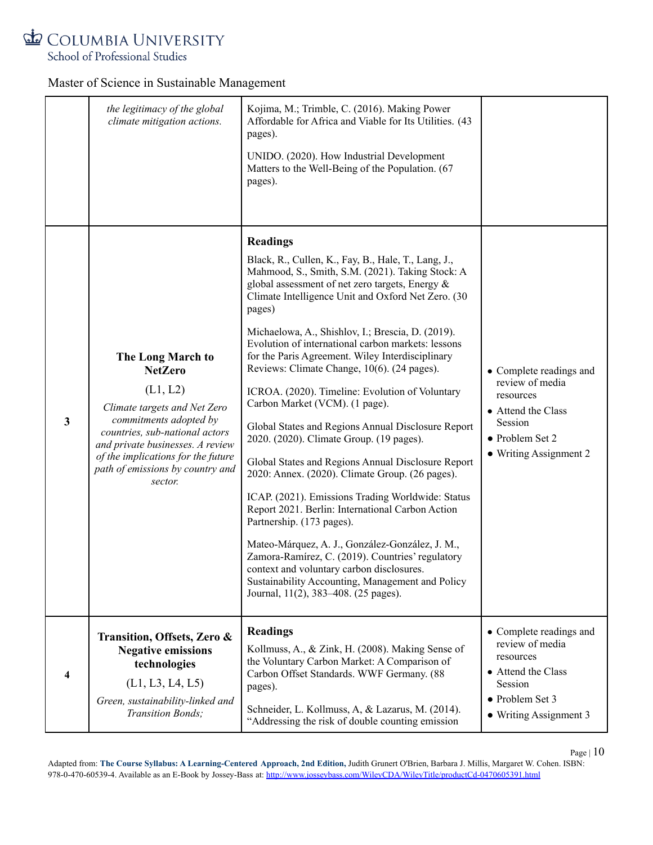COLUMBIA UNIVERSITY

School of Professional Studies

Master of Science in Sustainable Management

|              | the legitimacy of the global<br>climate mitigation actions.                                                                                                                                                                                                          | Kojima, M.; Trimble, C. (2016). Making Power<br>Affordable for Africa and Viable for Its Utilities. (43<br>pages).<br>UNIDO. (2020). How Industrial Development<br>Matters to the Well-Being of the Population. (67<br>pages).                                                                                                                                                                                                                                                                                                                                                                                                                                                                                                                                                                                                                                                                                                                                                                                                                                                                                                                    |                                                                                                                                       |
|--------------|----------------------------------------------------------------------------------------------------------------------------------------------------------------------------------------------------------------------------------------------------------------------|---------------------------------------------------------------------------------------------------------------------------------------------------------------------------------------------------------------------------------------------------------------------------------------------------------------------------------------------------------------------------------------------------------------------------------------------------------------------------------------------------------------------------------------------------------------------------------------------------------------------------------------------------------------------------------------------------------------------------------------------------------------------------------------------------------------------------------------------------------------------------------------------------------------------------------------------------------------------------------------------------------------------------------------------------------------------------------------------------------------------------------------------------|---------------------------------------------------------------------------------------------------------------------------------------|
| $\mathbf{3}$ | The Long March to<br><b>NetZero</b><br>(L1, L2)<br>Climate targets and Net Zero<br>commitments adopted by<br>countries, sub-national actors<br>and private businesses. A review<br>of the implications for the future<br>path of emissions by country and<br>sector. | <b>Readings</b><br>Black, R., Cullen, K., Fay, B., Hale, T., Lang, J.,<br>Mahmood, S., Smith, S.M. (2021). Taking Stock: A<br>global assessment of net zero targets, Energy &<br>Climate Intelligence Unit and Oxford Net Zero. (30<br>pages)<br>Michaelowa, A., Shishlov, I.; Brescia, D. (2019).<br>Evolution of international carbon markets: lessons<br>for the Paris Agreement. Wiley Interdisciplinary<br>Reviews: Climate Change, 10(6). (24 pages).<br>ICROA. (2020). Timeline: Evolution of Voluntary<br>Carbon Market (VCM). (1 page).<br>Global States and Regions Annual Disclosure Report<br>2020. (2020). Climate Group. (19 pages).<br>Global States and Regions Annual Disclosure Report<br>2020: Annex. (2020). Climate Group. (26 pages).<br>ICAP. (2021). Emissions Trading Worldwide: Status<br>Report 2021. Berlin: International Carbon Action<br>Partnership. (173 pages).<br>Mateo-Márquez, A. J., González-González, J. M.,<br>Zamora-Ramírez, C. (2019). Countries' regulatory<br>context and voluntary carbon disclosures.<br>Sustainability Accounting, Management and Policy<br>Journal, 11(2), 383-408. (25 pages). | • Complete readings and<br>review of media<br>resources<br>• Attend the Class<br>Session<br>• Problem Set 2<br>• Writing Assignment 2 |
| 4            | Transition, Offsets, Zero &<br><b>Negative emissions</b><br>technologies<br>(L1, L3, L4, L5)<br>Green, sustainability-linked and<br>Transition Bonds;                                                                                                                | <b>Readings</b><br>Kollmuss, A., & Zink, H. (2008). Making Sense of<br>the Voluntary Carbon Market: A Comparison of<br>Carbon Offset Standards. WWF Germany. (88<br>pages).<br>Schneider, L. Kollmuss, A, & Lazarus, M. (2014).<br>"Addressing the risk of double counting emission                                                                                                                                                                                                                                                                                                                                                                                                                                                                                                                                                                                                                                                                                                                                                                                                                                                               | • Complete readings and<br>review of media<br>resources<br>• Attend the Class<br>Session<br>• Problem Set 3<br>• Writing Assignment 3 |

Adapted from: **The Course Syllabus: A Learning-Centered Approach, 2nd Edition,** Judith Grunert O'Brien, Barbara J. Millis, Margaret W. Cohen. ISBN: 978-0-470-60539-4. Available as an E-Book by Jossey-Bass at: <http://www.josseybass.com/WileyCDA/WileyTitle/productCd-0470605391.html>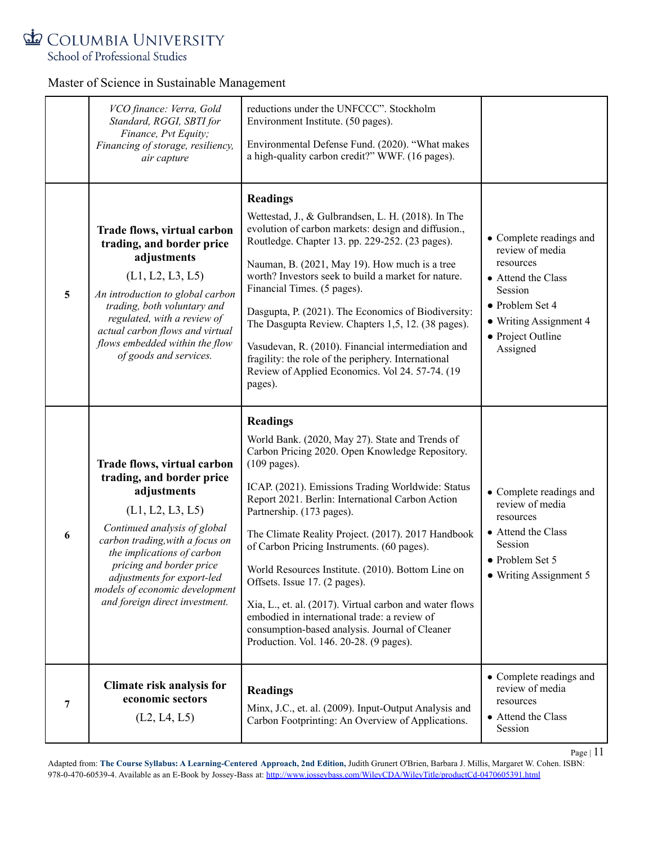

School of Professional Studies

# Master of Science in Sustainable Management

|   | VCO finance: Verra, Gold<br>Standard, RGGI, SBTI for<br>Finance, Pvt Equity;<br>Financing of storage, resiliency,<br>air capture                                                                                                                                                                                           | reductions under the UNFCCC". Stockholm<br>Environment Institute. (50 pages).<br>Environmental Defense Fund. (2020). "What makes<br>a high-quality carbon credit?" WWF. (16 pages).                                                                                                                                                                                                                                                                                                                                                                                                                                                                                                     |                                                                                                                                                                        |
|---|----------------------------------------------------------------------------------------------------------------------------------------------------------------------------------------------------------------------------------------------------------------------------------------------------------------------------|-----------------------------------------------------------------------------------------------------------------------------------------------------------------------------------------------------------------------------------------------------------------------------------------------------------------------------------------------------------------------------------------------------------------------------------------------------------------------------------------------------------------------------------------------------------------------------------------------------------------------------------------------------------------------------------------|------------------------------------------------------------------------------------------------------------------------------------------------------------------------|
| 5 | <b>Trade flows, virtual carbon</b><br>trading, and border price<br>adjustments<br>(L1, L2, L3, L5)<br>An introduction to global carbon<br>trading, both voluntary and<br>regulated, with a review of<br>actual carbon flows and virtual<br>flows embedded within the flow<br>of goods and services.                        | <b>Readings</b><br>Wettestad, J., & Gulbrandsen, L. H. (2018). In The<br>evolution of carbon markets: design and diffusion.,<br>Routledge. Chapter 13. pp. 229-252. (23 pages).<br>Nauman, B. (2021, May 19). How much is a tree<br>worth? Investors seek to build a market for nature.<br>Financial Times. (5 pages).<br>Dasgupta, P. (2021). The Economics of Biodiversity:<br>The Dasgupta Review. Chapters 1,5, 12. (38 pages).<br>Vasudevan, R. (2010). Financial intermediation and<br>fragility: the role of the periphery. International<br>Review of Applied Economics. Vol 24. 57-74. (19<br>pages).                                                                          | • Complete readings and<br>review of media<br>resources<br>• Attend the Class<br>Session<br>• Problem Set 4<br>• Writing Assignment 4<br>• Project Outline<br>Assigned |
| 6 | Trade flows, virtual carbon<br>trading, and border price<br>adjustments<br>(L1, L2, L3, L5)<br>Continued analysis of global<br>carbon trading, with a focus on<br>the implications of carbon<br>pricing and border price<br>adjustments for export-led<br>models of economic development<br>and foreign direct investment. | <b>Readings</b><br>World Bank. (2020, May 27). State and Trends of<br>Carbon Pricing 2020. Open Knowledge Repository.<br>$(109 \text{ pages}).$<br>ICAP. (2021). Emissions Trading Worldwide: Status<br>Report 2021. Berlin: International Carbon Action<br>Partnership. (173 pages).<br>The Climate Reality Project. (2017). 2017 Handbook<br>of Carbon Pricing Instruments. (60 pages).<br>World Resources Institute. (2010). Bottom Line on<br>Offsets. Issue 17. (2 pages).<br>Xia, L., et. al. (2017). Virtual carbon and water flows<br>embodied in international trade: a review of<br>consumption-based analysis. Journal of Cleaner<br>Production. Vol. 146. 20-28. (9 pages). | • Complete readings and<br>review of media<br>resources<br>• Attend the Class<br>Session<br>• Problem Set 5<br>• Writing Assignment 5                                  |
| 7 | Climate risk analysis for<br>economic sectors<br>(L2, L4, L5)                                                                                                                                                                                                                                                              | <b>Readings</b><br>Minx, J.C., et. al. (2009). Input-Output Analysis and<br>Carbon Footprinting: An Overview of Applications.                                                                                                                                                                                                                                                                                                                                                                                                                                                                                                                                                           | • Complete readings and<br>review of media<br>resources<br>• Attend the Class<br>Session                                                                               |

Page | 11

Adapted from: **The Course Syllabus: A Learning-Centered Approach, 2nd Edition,** Judith Grunert O'Brien, Barbara J. Millis, Margaret W. Cohen. ISBN: 978-0-470-60539-4. Available as an E-Book by Jossey-Bass at: <http://www.josseybass.com/WileyCDA/WileyTitle/productCd-0470605391.html>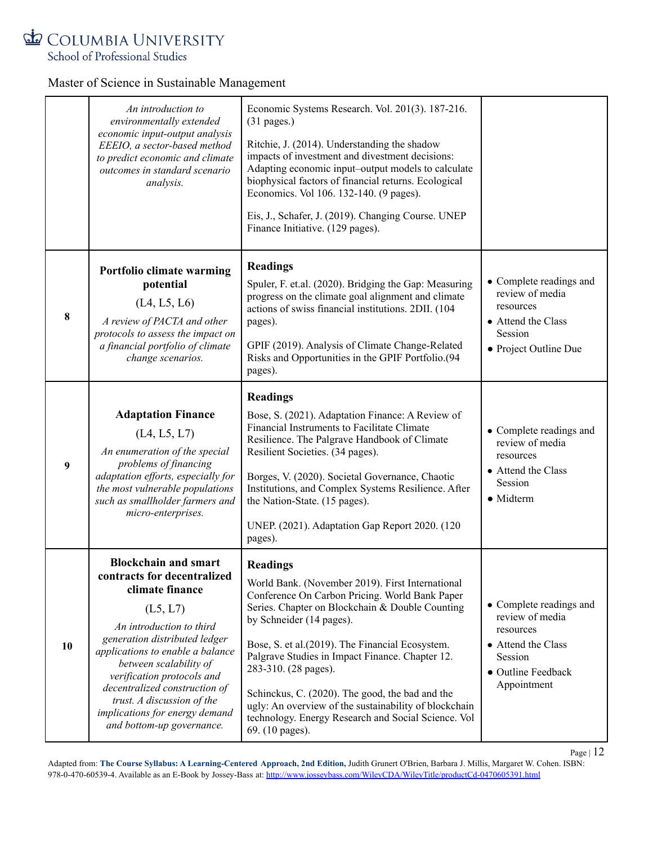*An introduction to environmentally extended economic input-output analysis EEEIO, a sector-based method to predict economic and climate outcomes in standard scenario analysis.* Economic Systems Research. Vol. 201(3). 187-216. (31 pages.) Ritchie, J. (2014). Understanding the shadow impacts of investment and divestment decisions: Adapting economic input–output models to calculate biophysical factors of financial returns. Ecological Economics. Vol 106. 132-140. (9 pages). Eis, J., Schafer, J. (2019). Changing Course. UNEP Finance Initiative. (129 pages). **8 Portfolio climate warming potential** (L4, L5, L6) *A review of PACTA and other protocols to assess the impact on a financial portfolio of climate change scenarios.* **Readings** Spuler, F. et.al. (2020). Bridging the Gap: Measuring progress on the climate goal alignment and climate actions of swiss financial institutions. 2DII. (104 pages). GPIF (2019). Analysis of Climate Change-Related Risks and Opportunities in the GPIF Portfolio.(94 pages). • Complete readings and review of media resources • Attend the Class Session ● Project Outline Due **9 Adaptation Finance** (L4, L5, L7) *An enumeration of the special problems of financing adaptation ef orts, especially for the most vulnerable populations such as smallholder farmers and micro-enterprises.* **Readings** Bose, S. (2021). Adaptation Finance: A Review of Financial Instruments to Facilitate Climate Resilience. The Palgrave Handbook of Climate Resilient Societies. (34 pages). Borges, V. (2020). Societal Governance, Chaotic Institutions, and Complex Systems Resilience. After the Nation-State. (15 pages). UNEP. (2021). Adaptation Gap Report 2020. (120 pages). • Complete readings and review of media resources • Attend the Class Session ● Midterm **10 Blockchain and smart contracts for decentralized climate finance** (L5, L7) *An introduction to third generation distributed ledger applications to enable a balance between scalability of verification protocols and decentralized construction of trust. A discussion of the implications for energy demand and bottom-up governance.* **Readings** World Bank. (November 2019). First International Conference On Carbon Pricing. World Bank Paper Series. Chapter on Blockchain & Double Counting by Schneider (14 pages). Bose, S. et al.(2019). The Financial Ecosystem. Palgrave Studies in Impact Finance. Chapter 12. 283-310. (28 pages). Schinckus, C. (2020). The good, the bad and the ugly: An overview of the sustainability of blockchain technology. Energy Research and Social Science. Vol 69. (10 pages). ● Complete readings and review of media resources • Attend the Class Session • Outline Feedback Appointment

Adapted from: **The Course Syllabus: A Learning-Centered Approach, 2nd Edition,** Judith Grunert O'Brien, Barbara J. Millis, Margaret W. Cohen. ISBN: 978-0-470-60539-4. Available as an E-Book by Jossey-Bass at: <http://www.josseybass.com/WileyCDA/WileyTitle/productCd-0470605391.html>

Page | 12



School of Professional Studies

# Master of Science in Sustainable Management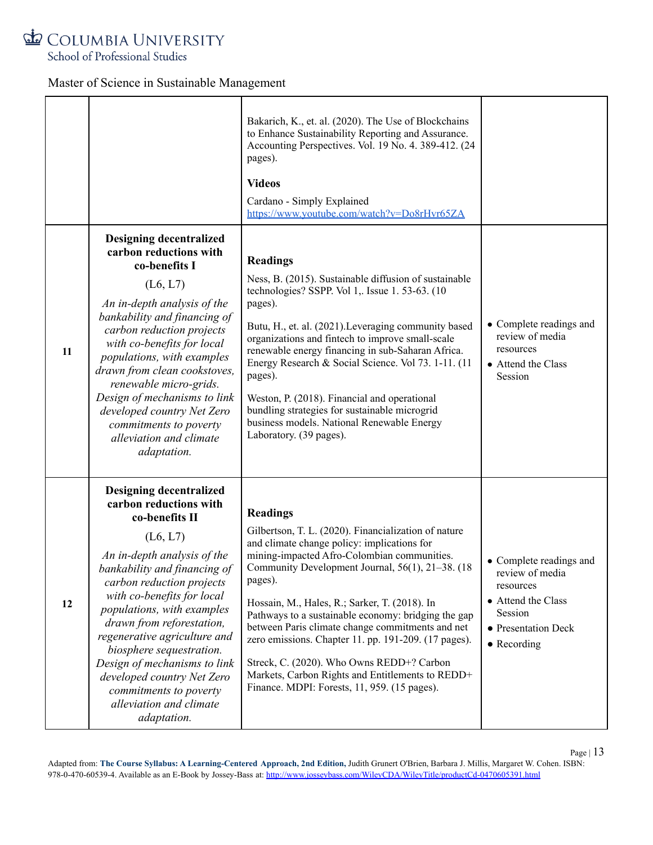

School of Professional Studies

# Master of Science in Sustainable Management

|    |                                                                                                                                                                                                                                                                                                                                                                                                                                                                           | Bakarich, K., et. al. (2020). The Use of Blockchains<br>to Enhance Sustainability Reporting and Assurance.<br>Accounting Perspectives. Vol. 19 No. 4. 389-412. (24<br>pages).<br><b>Videos</b><br>Cardano - Simply Explained<br>https://www.youtube.com/watch?v=Do8rHvr65ZA                                                                                                                                                                                                                                                                                                                                |                                                                                                                                |
|----|---------------------------------------------------------------------------------------------------------------------------------------------------------------------------------------------------------------------------------------------------------------------------------------------------------------------------------------------------------------------------------------------------------------------------------------------------------------------------|------------------------------------------------------------------------------------------------------------------------------------------------------------------------------------------------------------------------------------------------------------------------------------------------------------------------------------------------------------------------------------------------------------------------------------------------------------------------------------------------------------------------------------------------------------------------------------------------------------|--------------------------------------------------------------------------------------------------------------------------------|
| 11 | <b>Designing decentralized</b><br>carbon reductions with<br>co-benefits I<br>(L6, L7)<br>An in-depth analysis of the<br>bankability and financing of<br>carbon reduction projects<br>with co-benefits for local<br>populations, with examples<br>drawn from clean cookstoves,<br>renewable micro-grids.<br>Design of mechanisms to link<br>developed country Net Zero<br>commitments to poverty<br>alleviation and climate<br>adaptation.                                 | <b>Readings</b><br>Ness, B. (2015). Sustainable diffusion of sustainable<br>technologies? SSPP. Vol 1, Issue 1. 53-63. (10)<br>pages).<br>Butu, H., et. al. (2021). Leveraging community based<br>organizations and fintech to improve small-scale<br>renewable energy financing in sub-Saharan Africa.<br>Energy Research & Social Science. Vol 73. 1-11. (11)<br>pages).<br>Weston, P. (2018). Financial and operational<br>bundling strategies for sustainable microgrid<br>business models. National Renewable Energy<br>Laboratory. (39 pages).                                                       | • Complete readings and<br>review of media<br>resources<br>• Attend the Class<br>Session                                       |
| 12 | <b>Designing decentralized</b><br>carbon reductions with<br>co-benefits II<br>(L6, L7)<br>An in-depth analysis of the<br>bankability and financing of<br>carbon reduction projects<br>with co-benefits for local<br>populations, with examples<br>drawn from reforestation,<br>regenerative agriculture and<br>biosphere sequestration.<br>Design of mechanisms to link<br>developed country Net Zero<br>commitments to poverty<br>alleviation and climate<br>adaptation. | <b>Readings</b><br>Gilbertson, T. L. (2020). Financialization of nature<br>and climate change policy: implications for<br>mining-impacted Afro-Colombian communities.<br>Community Development Journal, 56(1), 21–38. (18)<br>pages).<br>Hossain, M., Hales, R.; Sarker, T. (2018). In<br>Pathways to a sustainable economy: bridging the gap<br>between Paris climate change commitments and net<br>zero emissions. Chapter 11. pp. 191-209. (17 pages).<br>Streck, C. (2020). Who Owns REDD+? Carbon<br>Markets, Carbon Rights and Entitlements to REDD+<br>Finance. MDPI: Forests, 11, 959. (15 pages). | • Complete readings and<br>review of media<br>resources<br>• Attend the Class<br>Session<br>• Presentation Deck<br>• Recording |

Adapted from: **The Course Syllabus: A Learning-Centered Approach, 2nd Edition,** Judith Grunert O'Brien, Barbara J. Millis, Margaret W. Cohen. ISBN: 978-0-470-60539-4. Available as an E-Book by Jossey-Bass at: <http://www.josseybass.com/WileyCDA/WileyTitle/productCd-0470605391.html>